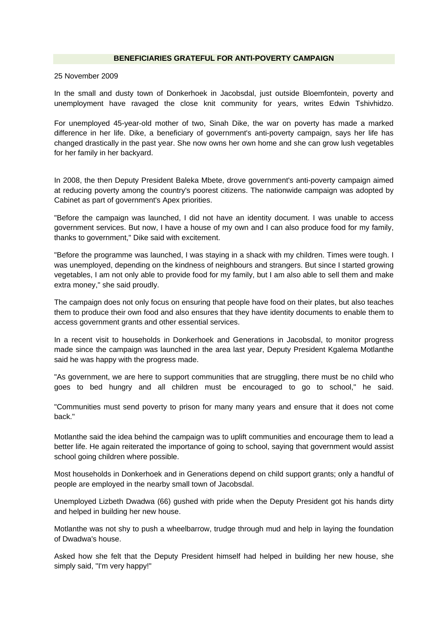## **BENEFICIARIES GRATEFUL FOR ANTI-POVERTY CAMPAIGN**

## 25 November 2009

In the small and dusty town of Donkerhoek in Jacobsdal, just outside Bloemfontein, poverty and unemployment have ravaged the close knit community for years, writes Edwin Tshivhidzo.

For unemployed 45-year-old mother of two, Sinah Dike, the war on poverty has made a marked difference in her life. Dike, a beneficiary of government's anti-poverty campaign, says her life has changed drastically in the past year. She now owns her own home and she can grow lush vegetables for her family in her backyard.

In 2008, the then Deputy President Baleka Mbete, drove government's anti-poverty campaign aimed at reducing poverty among the country's poorest citizens. The nationwide campaign was adopted by Cabinet as part of government's Apex priorities.

"Before the campaign was launched, I did not have an identity document. I was unable to access government services. But now, I have a house of my own and I can also produce food for my family, thanks to government," Dike said with excitement.

"Before the programme was launched, I was staying in a shack with my children. Times were tough. I was unemployed, depending on the kindness of neighbours and strangers. But since I started growing vegetables, I am not only able to provide food for my family, but I am also able to sell them and make extra money," she said proudly.

The campaign does not only focus on ensuring that people have food on their plates, but also teaches them to produce their own food and also ensures that they have identity documents to enable them to access government grants and other essential services.

In a recent visit to households in Donkerhoek and Generations in Jacobsdal, to monitor progress made since the campaign was launched in the area last year, Deputy President Kgalema Motlanthe said he was happy with the progress made.

"As government, we are here to support communities that are struggling, there must be no child who goes to bed hungry and all children must be encouraged to go to school," he said.

"Communities must send poverty to prison for many many years and ensure that it does not come back."

Motlanthe said the idea behind the campaign was to uplift communities and encourage them to lead a better life. He again reiterated the importance of going to school, saying that government would assist school going children where possible.

Most households in Donkerhoek and in Generations depend on child support grants; only a handful of people are employed in the nearby small town of Jacobsdal.

Unemployed Lizbeth Dwadwa (66) gushed with pride when the Deputy President got his hands dirty and helped in building her new house.

Motlanthe was not shy to push a wheelbarrow, trudge through mud and help in laying the foundation of Dwadwa's house.

Asked how she felt that the Deputy President himself had helped in building her new house, she simply said, "I'm very happy!"